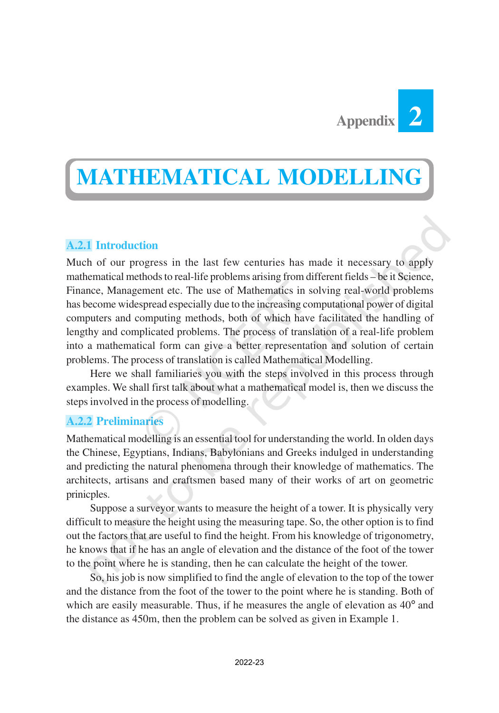# **MATHEMATICAL MODELLING**

# **A.2.1 Introduction**

Much of our progress in the last few centuries has made it necessary to apply mathematical methods to real-life problems arising from different fields – be it Science, Finance, Management etc. The use of Mathematics in solving real-world problems has become widespread especially due to the increasing computational power of digital computers and computing methods, both of which have facilitated the handling of lengthy and complicated problems. The process of translation of a real-life problem into a mathematical form can give a better representation and solution of certain problems. The process of translation is called Mathematical Modelling.

Here we shall familiaries you with the steps involved in this process through examples. We shall first talk about what a mathematical model is, then we discuss the steps involved in the process of modelling.

## **A.2.2 Preliminaries**

Mathematical modelling is an essential tool for understanding the world. In olden days the Chinese, Egyptians, Indians, Babylonians and Greeks indulged in understanding and predicting the natural phenomena through their knowledge of mathematics. The architects, artisans and craftsmen based many of their works of art on geometric prinicples.

Suppose a surveyor wants to measure the height of a tower. It is physically very difficult to measure the height using the measuring tape. So, the other option is to find out the factors that are useful to find the height. From his knowledge of trigonometry, he knows that if he has an angle of elevation and the distance of the foot of the tower to the point where he is standing, then he can calculate the height of the tower.

So, his job is now simplified to find the angle of elevation to the top of the tower and the distance from the foot of the tower to the point where he is standing. Both of which are easily measurable. Thus, if he measures the angle of elevation as 40<sup>°</sup> and the distance as 450m, then the problem can be solved as given in Example 1.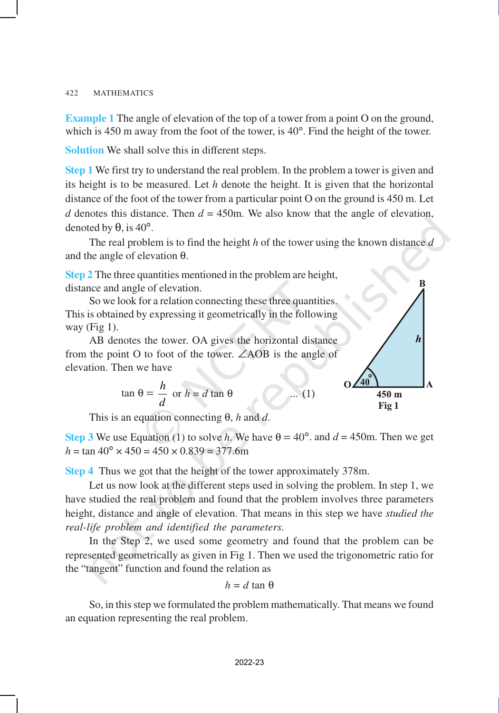**Example 1** The angle of elevation of the top of a tower from a point O on the ground, which is 450 m away from the foot of the tower, is 40<sup>o</sup>. Find the height of the tower.

**Solution** We shall solve this in different steps.

**Step 1** We first try to understand the real problem. In the problem a tower is given and its height is to be measured. Let *h* denote the height. It is given that the horizontal distance of the foot of the tower from a particular point O on the ground is 450 m. Let *d* denotes this distance. Then *d* = 450m. We also know that the angle of elevation, denoted by  $\theta$ , is 40°.

The real problem is to find the height *h* of the tower using the known distance *d* and the angle of elevation θ.

**Step 2** The three quantities mentioned in the problem are height, distance and angle of elevation.

So we look for a relation connecting these three quantities. This is obtained by expressing it geometrically in the following way  $(Fig 1)$ .

AB denotes the tower. OA gives the horizontal distance from the point O to foot of the tower. ∠AOB is the angle of elevation. Then we have

$$
\tan \theta = \frac{h}{d} \text{ or } h = d \tan \theta
$$

$$
\begin{array}{c}\n\\ \n\sqrt{40} \\
450 \text{ m} \\
\hline\n\text{Fig 1}\n\end{array}
$$

 $\overline{\mathbf{R}}$ 

This is an equation connecting θ, *h* and *d*.

**Step 3** We use Equation (1) to solve *h*. We have  $\theta = 40^{\circ}$ , and  $d = 450$ m. Then we get  $h = \tan 40^\circ \times 450 = 450 \times 0.839 = 377.6$ m

 $\dots$  (1)

**Step 4** Thus we got that the height of the tower approximately 378m.

Let us now look at the different steps used in solving the problem. In step 1, we have studied the real problem and found that the problem involves three parameters height, distance and angle of elevation. That means in this step we have *studied the real-life problem and identified the parameters.*

In the Step 2, we used some geometry and found that the problem can be represented geometrically as given in Fig 1. Then we used the trigonometric ratio for the "tangent" function and found the relation as

$$
h = d \tan \theta
$$

So, in this step we formulated the problem mathematically. That means we found an equation representing the real problem.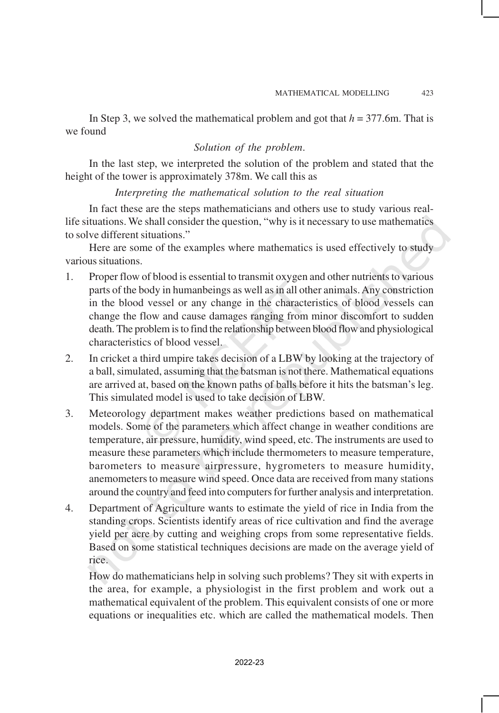In Step 3, we solved the mathematical problem and got that  $h = 377.6$ m. That is we found

## *Solution of the problem*.

In the last step, we interpreted the solution of the problem and stated that the height of the tower is approximately 378m. We call this as

## *Interpreting the mathematical solution to the real situation*

In fact these are the steps mathematicians and others use to study various reallife situations. We shall consider the question, "why is it necessary to use mathematics to solve different situations."

Here are some of the examples where mathematics is used effectively to study various situations.

- 1. Proper flow of blood is essential to transmit oxygen and other nutrients to various parts of the body in humanbeings as well as in all other animals. Any constriction in the blood vessel or any change in the characteristics of blood vessels can change the flow and cause damages ranging from minor discomfort to sudden death. The problem is to find the relationship between blood flow and physiological characteristics of blood vessel.
- 2. In cricket a third umpire takes decision of a LBW by looking at the trajectory of a ball, simulated, assuming that the batsman is not there. Mathematical equations are arrived at, based on the known paths of balls before it hits the batsman's leg. This simulated model is used to take decision of LBW.
- 3. Meteorology department makes weather predictions based on mathematical models. Some of the parameters which affect change in weather conditions are temperature, air pressure, humidity, wind speed, etc. The instruments are used to measure these parameters which include thermometers to measure temperature, barometers to measure airpressure, hygrometers to measure humidity, anemometers to measure wind speed. Once data are received from many stations around the country and feed into computers for further analysis and interpretation.
- 4. Department of Agriculture wants to estimate the yield of rice in India from the standing crops. Scientists identify areas of rice cultivation and find the average yield per acre by cutting and weighing crops from some representative fields. Based on some statistical techniques decisions are made on the average yield of rice.

How do mathematicians help in solving such problems? They sit with experts in the area, for example, a physiologist in the first problem and work out a mathematical equivalent of the problem. This equivalent consists of one or more equations or inequalities etc. which are called the mathematical models. Then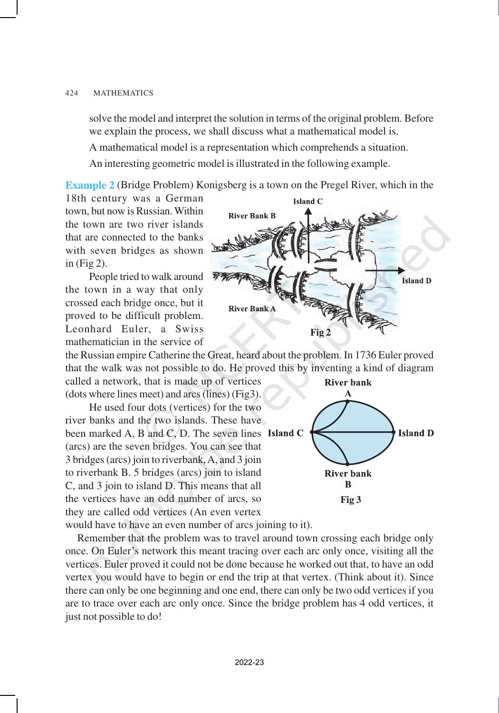solve the model and interpret the solution in terms of the original problem. Before we explain the process, we shall discuss what a mathematical model is. A mathematical model is a representation which comprehends a situation. An interesting geometric model is illustrated in the following example.

**Example 2** (Bridge Problem) Konigsberg is a town on the Pregel River, which in the

18th century was a German town, but now is Russian. Within the town are two river islands that are connected to the banks with seven bridges as shown in (Fig 2).

People tried to walk around the town in a way that only crossed each bridge once, but it proved to be difficult problem. Leonhard Euler, a Swiss mathematician in the service of



the Russian empire Catherine the Great, heard about the problem. In 1736 Euler proved that the walk was not possible to do. He proved this by inventing a kind of diagram

called a network, that is made up of vertices (dots where lines meet) and arcs (lines) (Fig3).

He used four dots (vertices) for the two river banks and the two islands. These have been marked A, B and C, D. The seven lines Island C (arcs) are the seven bridges. You can see that 3 bridges (arcs) join to riverbank, A, and 3 join to riverbank B. 5 bridges (arcs) join to island C, and 3 join to island D. This means that all the vertices have an odd number of arcs, so they are called odd vertices (An even vertex



would have to have an even number of arcs joining to it).

Remember that the problem was to travel around town crossing each bridge only once. On Euler's network this meant tracing over each arc only once, visiting all the vertices. Euler proved it could not be done because he worked out that, to have an odd vertex you would have to begin or end the trip at that vertex. (Think about it). Since there can only be one beginning and one end, there can only be two odd vertices if you are to trace over each arc only once. Since the bridge problem has 4 odd vertices, it just not possible to do!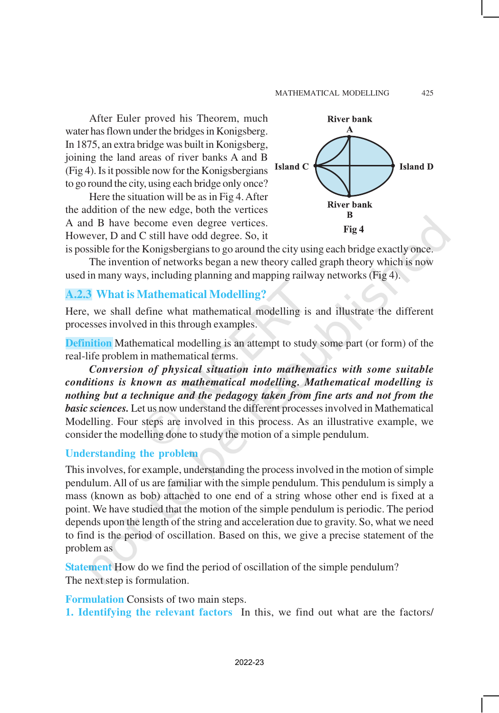After Euler proved his Theorem, much water has flown under the bridges in Konigsberg. In 1875, an extra bridge was built in Konigsberg, joining the land areas of river banks A and B (Fig 4). Is it possible now for the Konigsbergians to go round the city, using each bridge only once?

Here the situation will be as in Fig 4. After the addition of the new edge, both the vertices A and B have become even degree vertices. However, D and C still have odd degree. So, it



is possible for the Konigsbergians to go around the city using each bridge exactly once.

The invention of networks began a new theory called graph theory which is now used in many ways, including planning and mapping railway networks (Fig 4).

## **A.2.3 What is Mathematical Modelling?**

Here, we shall define what mathematical modelling is and illustrate the different processes involved in this through examples.

**Definition** Mathematical modelling is an attempt to study some part (or form) of the real-life problem in mathematical terms.

*Conversion of physical situation into mathematics with some suitable conditions is known as mathematical modelling. Mathematical modelling is nothing but a technique and the pedagogy taken from fine arts and not from the basic sciences.* Let us now understand the different processes involved in Mathematical Modelling. Four steps are involved in this process. As an illustrative example, we consider the modelling done to study the motion of a simple pendulum.

#### **Understanding the problem**

This involves, for example, understanding the process involved in the motion of simple pendulum. All of us are familiar with the simple pendulum. This pendulum is simply a mass (known as bob) attached to one end of a string whose other end is fixed at a point. We have studied that the motion of the simple pendulum is periodic. The period depends upon the length of the string and acceleration due to gravity. So, what we need to find is the period of oscillation. Based on this, we give a precise statement of the problem as

**Statement** How do we find the period of oscillation of the simple pendulum? The next step is formulation.

**Formulation** Consists of two main steps.

**1. Identifying the relevant factors** In this, we find out what are the factors/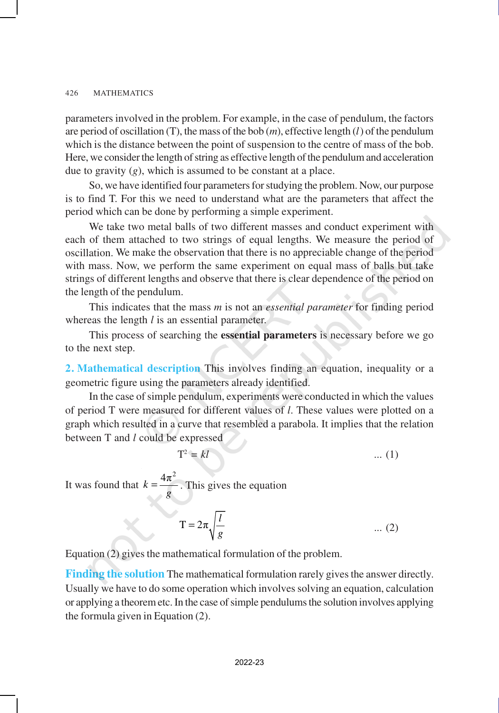parameters involved in the problem. For example, in the case of pendulum, the factors are period of oscillation (T), the mass of the bob (*m*), effective length (*l*) of the pendulum which is the distance between the point of suspension to the centre of mass of the bob. Here, we consider the length of string as effective length of the pendulum and acceleration due to gravity  $(g)$ , which is assumed to be constant at a place.

So, we have identified four parameters for studying the problem. Now, our purpose is to find T. For this we need to understand what are the parameters that affect the period which can be done by performing a simple experiment.

We take two metal balls of two different masses and conduct experiment with each of them attached to two strings of equal lengths. We measure the period of oscillation. We make the observation that there is no appreciable change of the period with mass. Now, we perform the same experiment on equal mass of balls but take strings of different lengths and observe that there is clear dependence of the period on the length of the pendulum.

This indicates that the mass *m* is not an *essential parameter* for finding period whereas the length *l* is an essential parameter.

This process of searching the **essential parameters** is necessary before we go to the next step.

**2. Mathematical description** This involves finding an equation, inequality or a geometric figure using the parameters already identified.

In the case of simple pendulum, experiments were conducted in which the values of period T were measured for different values of *l*. These values were plotted on a graph which resulted in a curve that resembled a parabola. It implies that the relation between T and *l* could be expressed

$$
T^2 = kl \tag{1}
$$

It was found that 
$$
k = \frac{4\pi^2}{g}
$$
. This gives the equation

$$
T = 2\pi \sqrt{\frac{l}{g}}
$$
 ... (2)

Equation (2) gives the mathematical formulation of the problem.

**Finding the solution** The mathematical formulation rarely gives the answer directly. Usually we have to do some operation which involves solving an equation, calculation or applying a theorem etc. In the case of simple pendulums the solution involves applying the formula given in Equation (2).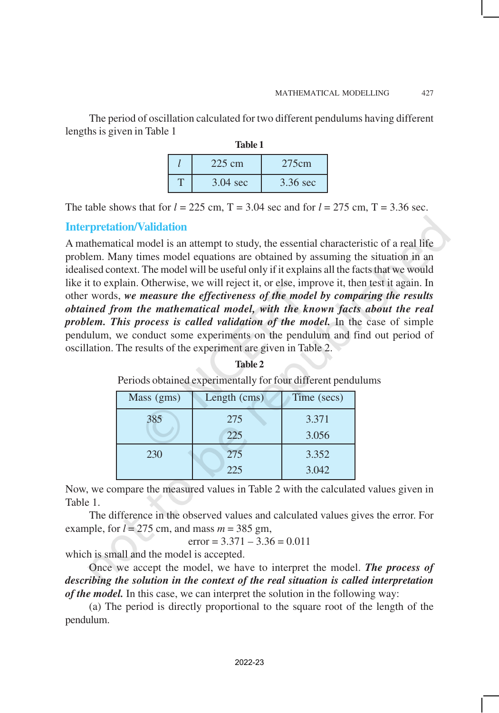The period of oscillation calculated for two different pendulums having different lengths is given in Table 1

| <b>Table 1</b> |                    |          |  |  |  |
|----------------|--------------------|----------|--|--|--|
|                | $225 \text{ cm}$   | 275cm    |  |  |  |
|                | $3.04 \text{ sec}$ | 3.36 sec |  |  |  |

The table shows that for  $l = 225$  cm,  $T = 3.04$  sec and for  $l = 275$  cm,  $T = 3.36$  sec.

## **Interpretation/Validation**

A mathematical model is an attempt to study, the essential characteristic of a real life problem. Many times model equations are obtained by assuming the situation in an idealised context. The model will be useful only if it explains all the facts that we would like it to explain. Otherwise, we will reject it, or else, improve it, then test it again. In other words, *we measure the effectiveness of the model by comparing the results obtained from the mathematical model, with the known facts about the real problem. This process is called validation of the model.* In the case of simple pendulum, we conduct some experiments on the pendulum and find out period of oscillation. The results of the experiment are given in Table 2.

| Mass (gms) | Length (cms) | Time (secs) |
|------------|--------------|-------------|
| 385        | 275          | 3.371       |
|            | 225          | 3.056       |
| 230        | 275          | 3.352       |
|            | 225          | 3.042       |

**Table 2** Periods obtained experimentally for four different pendulums

Now, we compare the measured values in Table 2 with the calculated values given in Table 1.

The difference in the observed values and calculated values gives the error. For example, for  $l = 275$  cm, and mass  $m = 385$  gm,

 $error = 3.371 - 3.36 = 0.011$ 

which is small and the model is accepted.

Once we accept the model, we have to interpret the model. *The process of describing the solution in the context of the real situation is called interpretation of the model.* In this case, we can interpret the solution in the following way:

(a) The period is directly proportional to the square root of the length of the pendulum.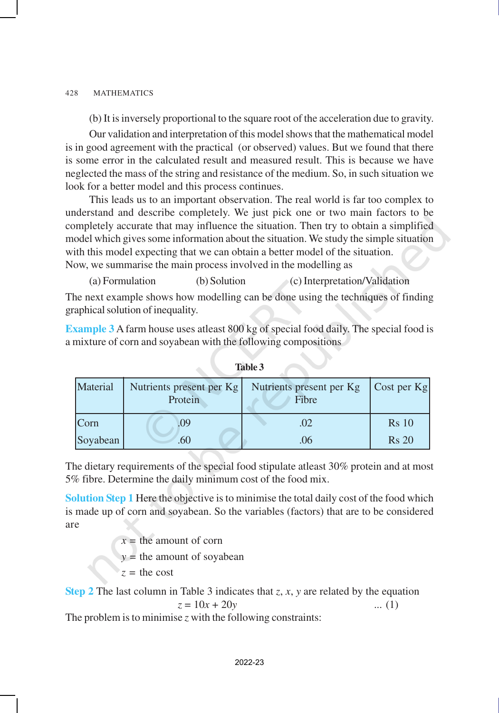(b) It is inversely proportional to the square root of the acceleration due to gravity.

Our validation and interpretation of this model shows that the mathematical model is in good agreement with the practical (or observed) values. But we found that there is some error in the calculated result and measured result. This is because we have neglected the mass of the string and resistance of the medium. So, in such situation we look for a better model and this process continues.

This leads us to an important observation. The real world is far too complex to understand and describe completely. We just pick one or two main factors to be completely accurate that may influence the situation. Then try to obtain a simplified model which gives some information about the situation. We study the simple situation with this model expecting that we can obtain a better model of the situation. Now, we summarise the main process involved in the modelling as

(a) Formulation (b) Solution (c) Interpretation/Validation

The next example shows how modelling can be done using the techniques of finding graphical solution of inequality.

**Example 3** A farm house uses atleast 800 kg of special food daily. The special food is a mixture of corn and soyabean with the following compositions

| Material | Nutrients present per Kg<br>Protein | Nutrients present per Kg<br>Fibre | Cost per Kg  |
|----------|-------------------------------------|-----------------------------------|--------------|
| Corn     | .09                                 | .02                               | <b>Rs</b> 10 |
| Soyabean |                                     | .06                               | <b>Rs</b> 20 |

**Table 3**

The dietary requirements of the special food stipulate atleast 30% protein and at most 5% fibre. Determine the daily minimum cost of the food mix.

**Solution Step 1** Here the objective is to minimise the total daily cost of the food which is made up of corn and soyabean. So the variables (factors) that are to be considered are

> $x =$  the amount of corn *y =* the amount of soyabean  $z =$  the cost

**Step 2** The last column in Table 3 indicates that *z*, *x*, *y* are related by the equation  $z = 10x + 20y$  ... (1)

The problem is to minimise *z* with the following constraints: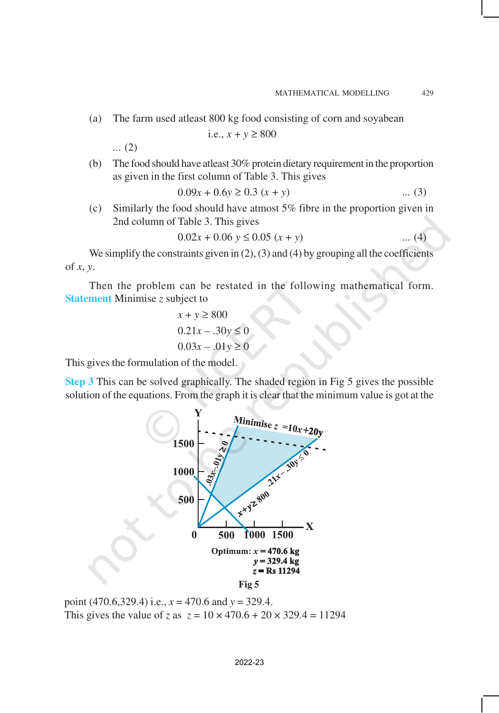(a) The farm used atleast 800 kg food consisting of corn and soyabean i.e.,  $x + y \ge 800$ 

... (2)

(b) The food should have atleast 30% protein dietary requirement in the proportion as given in the first column of Table 3. This gives

$$
0.09x + 0.6y \ge 0.3 \ (x + y) \tag{3}
$$

(c) Similarly the food should have atmost 5% fibre in the proportion given in 2nd column of Table 3. This gives

 $0.02x + 0.06 y \le 0.05 (x + y)$  ... (4)

We simplify the constraints given in  $(2)$ ,  $(3)$  and  $(4)$  by grouping all the coefficients of *x*, *y*.

Then the problem can be restated in the following mathematical form. **Statement** Minimise *z* subject to

$$
x + y \ge 800
$$
  

$$
0.21x - .30y \le 0
$$
  

$$
0.03x - .01y \ge 0
$$

This gives the formulation of the model.

**Step 3** This can be solved graphically. The shaded region in Fig 5 gives the possible solution of the equations. From the graph it is clear that the minimum value is got at the



point (470.6,329.4) i.e., *x* = 470.6 and *y* = 329.4. This gives the value of *z* as  $z = 10 \times 470.6 + 20 \times 329.4 = 11294$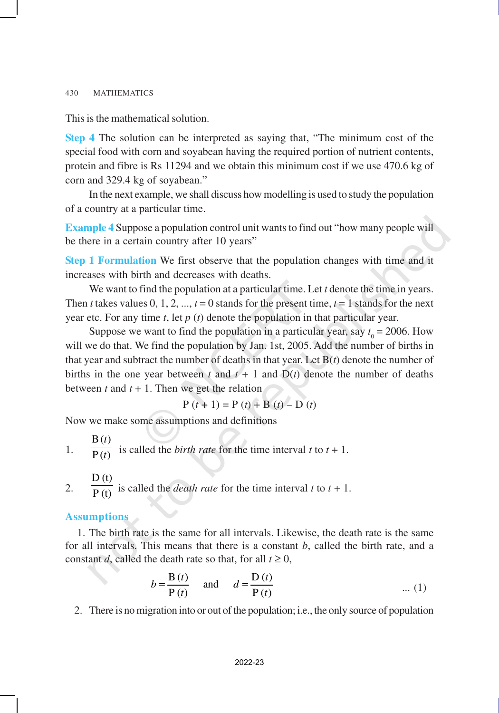This is the mathematical solution.

**Step 4** The solution can be interpreted as saying that, "The minimum cost of the special food with corn and soyabean having the required portion of nutrient contents, protein and fibre is Rs 11294 and we obtain this minimum cost if we use 470.6 kg of corn and 329.4 kg of soyabean."

In the next example, we shall discuss how modelling is used to study the population of a country at a particular time.

**Example 4** Suppose a population control unit wants to find out "how many people will be there in a certain country after 10 years"

**Step 1 Formulation** We first observe that the population changes with time and it increases with birth and decreases with deaths.

We want to find the population at a particular time. Let *t* denote the time in years. Then *t* takes values 0, 1, 2, ...,  $t = 0$  stands for the present time,  $t = 1$  stands for the next year etc. For any time *t*, let *p* (*t*) denote the population in that particular year.

Suppose we want to find the population in a particular year, say  $t_0 = 2006$ . How will we do that. We find the population by Jan. 1st, 2005. Add the number of births in that year and subtract the number of deaths in that year. Let B(*t*) denote the number of births in the one year between  $t$  and  $t + 1$  and  $D(t)$  denote the number of deaths between  $t$  and  $t + 1$ . Then we get the relation

 $P(t + 1) = P(t) + B(t) - D(t)$ 

Now we make some assumptions and definitions

1. 
$$
\frac{B(t)}{P(t)}
$$
 is called the *birth rate* for the time interval *t* to *t* + 1.

2. 
$$
\frac{D(t)}{P(t)}
$$
 is called the *death rate* for the time interval *t* to *t* + 1.

## **Assumptions**

 1. The birth rate is the same for all intervals. Likewise, the death rate is the same for all intervals. This means that there is a constant *b*, called the birth rate, and a constant *d*, called the death rate so that, for all  $t \geq 0$ ,

$$
b = \frac{B(t)}{P(t)} \quad \text{and} \quad d = \frac{D(t)}{P(t)} \quad \dots (1)
$$

2. There is no migration into or out of the population; i.e., the only source of population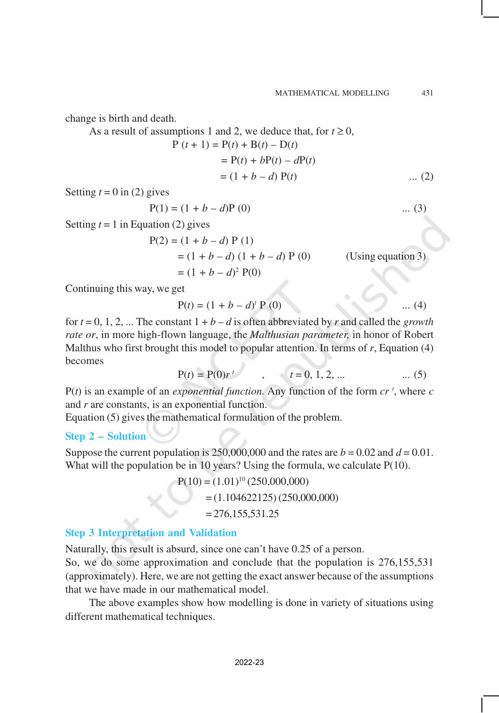change is birth and death.

As a result of assumptions 1 and 2, we deduce that, for  $t \ge 0$ ,

$$
P (t + 1) = P(t) + B(t) - D(t)
$$
  
= P(t) + bP(t) - dP(t)  
= (1 + b - d) P(t) .... (2)

Setting  $t = 0$  in (2) gives

$$
P(1) = (1 + b - d)P(0)
$$
 ... (3)

Setting  $t = 1$  in Equation (2) gives

$$
P(2) = (1 + b - d) P (1)
$$
  
= (1 + b - d) (1 + b - d) P (0) (Using equation 3)  
= (1 + b - d)<sup>2</sup> P(0)

Continuing this way, we get

$$
P(t) = (1 + b - d)^t P(0)
$$
 ... (4)

for  $t = 0, 1, 2, ...$  The constant  $1 + b - d$  is often abbreviated by r and called the *growth rate or*, in more high-flown language, the *Malthusian parameter,* in honor of Robert Malthus who first brought this model to popular attention. In terms of *r*, Equation (4) becomes

$$
P(t) = P(0)rt , t = 0, 1, 2, ...
$$
 (5)

P(*t*) is an example of an *exponential function.* Any function of the form *cr <sup>t</sup>* , where *c* and *r* are constants, is an exponential function.

Equation (5) gives the mathematical formulation of the problem.

#### **Step 2 – Solution**

Suppose the current population is  $250,000,000$  and the rates are  $b = 0.02$  and  $d = 0.01$ . What will the population be in 10 years? Using the formula, we calculate  $P(10)$ .

> $P(10) = (1.01)^{10} (250,000,000)$  $= (1.104622125) (250,000,000)$  $= 276,155,531.25$

### **Step 3 Interpretation and Validation**

Naturally, this result is absurd, since one can't have 0.25 of a person.

So, we do some approximation and conclude that the population is 276,155,531 (approximately). Here, we are not getting the exact answer because of the assumptions that we have made in our mathematical model.

The above examples show how modelling is done in variety of situations using different mathematical techniques.